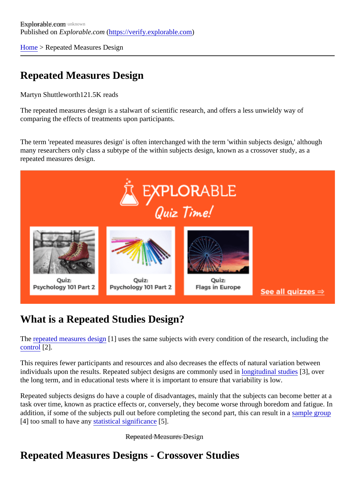[Home](https://verify.explorable.com/) > Repeated Measures Design

## Repeated Measures Design

Martyn Shuttleworth21.5K reads

The repeated measures design is a stalwart of scientific research, and offers a less unwieldy way of comparing the effects of treatments upon participants.

The term 'repeated measures design' is often interchanged with the term 'within subjects design,' although many researchers only class a subtype of the within subjects design, known as a crossover study, as a repeated measures design.

## What is a Repeated Studies Design?

The [repeated measures des](http://en.wikipedia.org/wiki/Repeated_measures_design)ign uses the same subjects with every condition of the research, including the [control](https://verify.explorable.com/scientific-control-group)[2].

This requires fewer participants and resources and also decreases the effects of natural variation between individuals upon the results. Repeated subject designs are commonly lased timinal studies3], over the long term, and in educational tests where it is important to ensure that variability is low.

Repeated subjects designs do have a couple of disadvantages, mainly that the subjects can become better task over time, known as practice effects or, conversely, they become worse through boredom and fatigue. addition, if some of the subjects pull out before completing the second part, this can resultiple group [4] too small to have any tatistical significance  $5$ ].

Repeated Measures Design

## Repeated Measures Designs - Crossover Studies